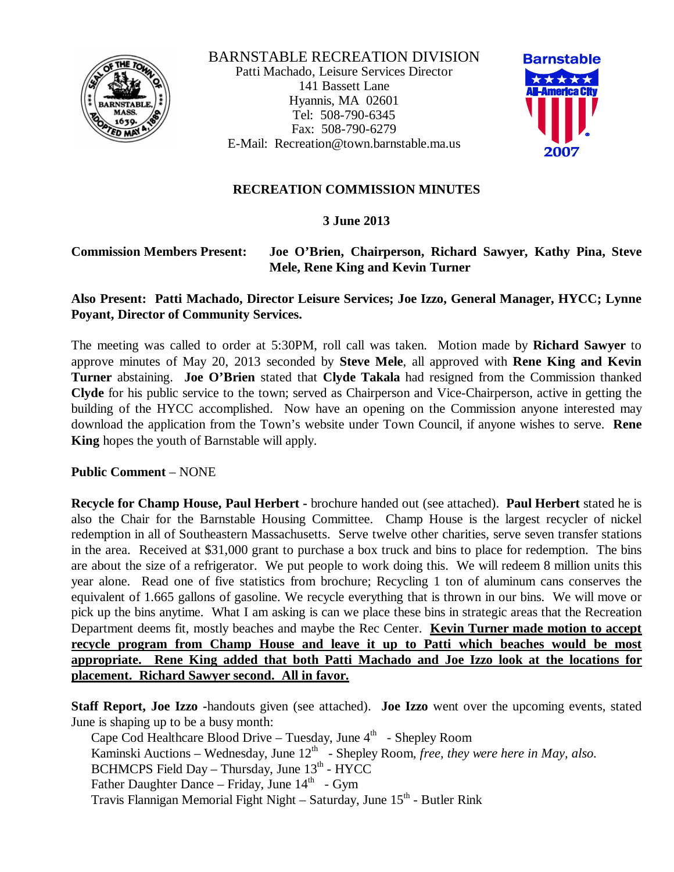

BARNSTABLE RECREATION DIVISION Patti Machado, Leisure Services Director 141 Bassett Lane Hyannis, MA 02601 Tel: 508-790-6345 Fax: 508-790-6279 E-Mail: Recreation@town.barnstable.ma.us



# **RECREATION COMMISSION MINUTES**

## **3 June 2013**

#### **Commission Members Present: Joe O'Brien, Chairperson, Richard Sawyer, Kathy Pina, Steve Mele, Rene King and Kevin Turner**

## **Also Present: Patti Machado, Director Leisure Services; Joe Izzo, General Manager, HYCC; Lynne Poyant, Director of Community Services.**

The meeting was called to order at 5:30PM, roll call was taken. Motion made by **Richard Sawyer** to approve minutes of May 20, 2013 seconded by **Steve Mele**, all approved with **Rene King and Kevin Turner** abstaining. **Joe O'Brien** stated that **Clyde Takala** had resigned from the Commission thanked **Clyde** for his public service to the town; served as Chairperson and Vice-Chairperson, active in getting the building of the HYCC accomplished. Now have an opening on the Commission anyone interested may download the application from the Town's website under Town Council, if anyone wishes to serve. **Rene King** hopes the youth of Barnstable will apply.

**Public Comment** – NONE

**Recycle for Champ House, Paul Herbert -** brochure handed out (see attached). **Paul Herbert** stated he is also the Chair for the Barnstable Housing Committee. Champ House is the largest recycler of nickel redemption in all of Southeastern Massachusetts. Serve twelve other charities, serve seven transfer stations in the area. Received at \$31,000 grant to purchase a box truck and bins to place for redemption. The bins are about the size of a refrigerator. We put people to work doing this. We will redeem 8 million units this year alone. Read one of five statistics from brochure; Recycling 1 ton of aluminum cans conserves the equivalent of 1.665 gallons of gasoline. We recycle everything that is thrown in our bins. We will move or pick up the bins anytime. What I am asking is can we place these bins in strategic areas that the Recreation Department deems fit, mostly beaches and maybe the Rec Center. **Kevin Turner made motion to accept recycle program from Champ House and leave it up to Patti which beaches would be most appropriate. Rene King added that both Patti Machado and Joe Izzo look at the locations for placement. Richard Sawyer second. All in favor.**

**Staff Report, Joe Izzo -**handouts given (see attached). **Joe Izzo** went over the upcoming events, stated June is shaping up to be a busy month:

Cape Cod Healthcare Blood Drive - Tuesday, June 4<sup>th</sup> - Shepley Room Kaminski Auctions – Wednesday, June 12<sup>th</sup> - Shepley Room, free, they were here in May, also. BCHMCPS Field Day - Thursday, June 13<sup>th</sup> - HYCC Father Daughter Dance - Friday, June 14<sup>th</sup> - Gym Travis Flannigan Memorial Fight Night - Saturday, June 15th - Butler Rink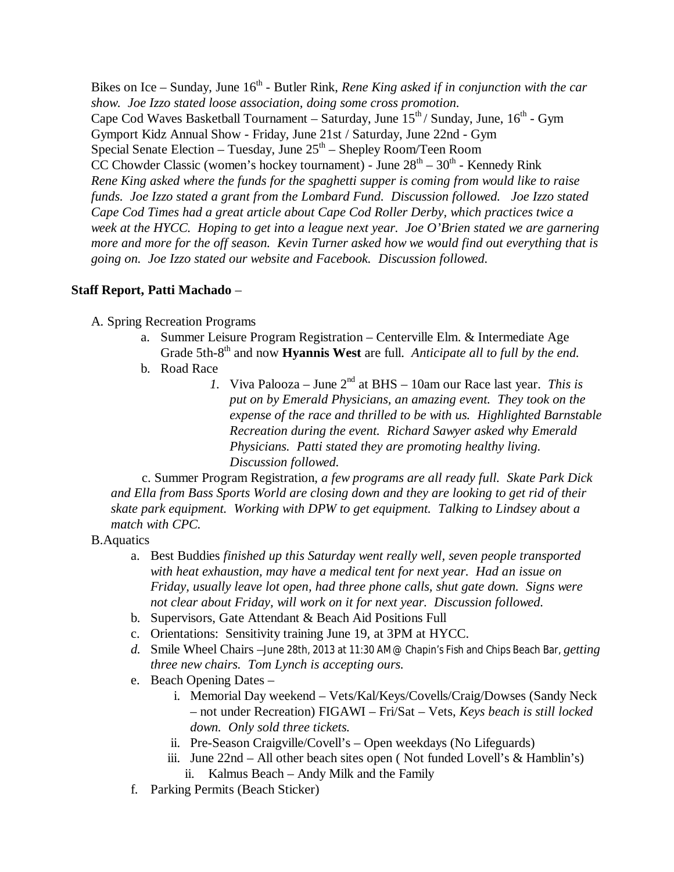Bikes on Ice – Sunday, June 16<sup>th</sup> - Butler Rink, *Rene King asked if in conjunction with the car show. Joe Izzo stated loose association, doing some cross promotion.* Cape Cod Waves Basketball Tournament – Saturday, June 15<sup>th</sup> / Sunday, June, 16<sup>th</sup> - Gym Gymport Kidz Annual Show - Friday, June 21st / Saturday, June 22nd - Gym Special Senate Election – Tuesday, June  $25^{\text{th}}$  – Shepley Room/Teen Room CC Chowder Classic (women's hockey tournament) - June  $28<sup>th</sup> - 30<sup>th</sup>$  - Kennedy Rink *Rene King asked where the funds for the spaghetti supper is coming from would like to raise funds. Joe Izzo stated a grant from the Lombard Fund. Discussion followed. Joe Izzo stated Cape Cod Times had a great article about Cape Cod Roller Derby, which practices twice a week at the HYCC. Hoping to get into a league next year. Joe O'Brien stated we are garnering more and more for the off season. Kevin Turner asked how we would find out everything that is going on. Joe Izzo stated our website and Facebook. Discussion followed.*

### **Staff Report, Patti Machado** –

### A. Spring Recreation Programs

- a. Summer Leisure Program Registration Centerville Elm. & Intermediate Age Grade 5th-8<sup>th</sup> and now **Hyannis West** are full. *Anticipate all to full by the end.*
- b. Road Race
	- *1.* Viva Palooza June 2nd at BHS 10am our Race last year. *This is put on by Emerald Physicians, an amazing event. They took on the expense of the race and thrilled to be with us. Highlighted Barnstable Recreation during the event. Richard Sawyer asked why Emerald Physicians. Patti stated they are promoting healthy living. Discussion followed.*

 c. Summer Program Registration, *a few programs are all ready full. Skate Park Dick and Ella from Bass Sports World are closing down and they are looking to get rid of their skate park equipment. Working with DPW to get equipment. Talking to Lindsey about a match with CPC.*

#### B.Aquatics

- a. Best Buddies *finished up this Saturday went really well, seven people transported with heat exhaustion, may have a medical tent for next year. Had an issue on Friday, usually leave lot open, had three phone calls, shut gate down. Signs were not clear about Friday, will work on it for next year. Discussion followed.*
- b. Supervisors, Gate Attendant & Beach Aid Positions Full
- c. Orientations: Sensitivity training June 19, at 3PM at HYCC.
- *d.* Smile Wheel Chairs –June 28th, 2013 at 11:30 AM@ Chapin's Fish and Chips Beach Bar, *getting three new chairs. Tom Lynch is accepting ours.*
- e. Beach Opening Dates
	- i. Memorial Day weekend Vets/Kal/Keys/Covells/Craig/Dowses (Sandy Neck – not under Recreation) FIGAWI – Fri/Sat – Vets, *Keys beach is still locked down. Only sold three tickets.*
	- ii. Pre-Season Craigville/Covell's Open weekdays (No Lifeguards)
	- iii. June 22nd All other beach sites open ( Not funded Lovell's & Hamblin's) ii. Kalmus Beach – Andy Milk and the Family
- f. Parking Permits (Beach Sticker)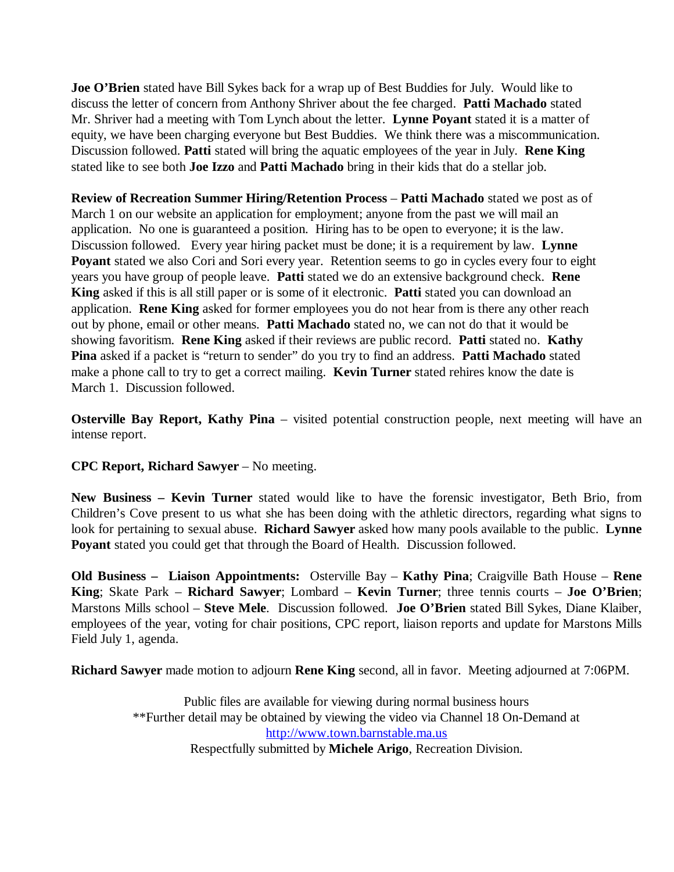**Joe O'Brien** stated have Bill Sykes back for a wrap up of Best Buddies for July. Would like to discuss the letter of concern from Anthony Shriver about the fee charged. **Patti Machado** stated Mr. Shriver had a meeting with Tom Lynch about the letter. **Lynne Poyant** stated it is a matter of equity, we have been charging everyone but Best Buddies. We think there was a miscommunication. Discussion followed. **Patti** stated will bring the aquatic employees of the year in July. **Rene King** stated like to see both **Joe Izzo** and **Patti Machado** bring in their kids that do a stellar job.

**Review of Recreation Summer Hiring/Retention Process** – **Patti Machado** stated we post as of March 1 on our website an application for employment; anyone from the past we will mail an application. No one is guaranteed a position. Hiring has to be open to everyone; it is the law. Discussion followed. Every year hiring packet must be done; it is a requirement by law. **Lynne Poyant** stated we also Cori and Sori every year. Retention seems to go in cycles every four to eight years you have group of people leave. **Patti** stated we do an extensive background check. **Rene King** asked if this is all still paper or is some of it electronic. **Patti** stated you can download an application. **Rene King** asked for former employees you do not hear from is there any other reach out by phone, email or other means. **Patti Machado** stated no, we can not do that it would be showing favoritism. **Rene King** asked if their reviews are public record. **Patti** stated no. **Kathy Pina** asked if a packet is "return to sender" do you try to find an address. **Patti Machado** stated make a phone call to try to get a correct mailing. **Kevin Turner** stated rehires know the date is March 1. Discussion followed.

**Osterville Bay Report, Kathy Pina** – visited potential construction people, next meeting will have an intense report.

# **CPC Report, Richard Sawyer** – No meeting.

**New Business – Kevin Turner** stated would like to have the forensic investigator, Beth Brio, from Children's Cove present to us what she has been doing with the athletic directors, regarding what signs to look for pertaining to sexual abuse. **Richard Sawyer** asked how many pools available to the public. **Lynne Poyant** stated you could get that through the Board of Health. Discussion followed.

**Old Business – Liaison Appointments:** Osterville Bay – **Kathy Pina**; Craigville Bath House – **Rene King**; Skate Park – **Richard Sawyer**; Lombard – **Kevin Turner**; three tennis courts – **Joe O'Brien**; Marstons Mills school – **Steve Mele**. Discussion followed. **Joe O'Brien** stated Bill Sykes, Diane Klaiber, employees of the year, voting for chair positions, CPC report, liaison reports and update for Marstons Mills Field July 1, agenda.

**Richard Sawyer** made motion to adjourn **Rene King** second, all in favor. Meeting adjourned at 7:06PM.

Public files are available for viewing during normal business hours \*\*Further detail may be obtained by viewing the video via Channel 18 On-Demand at http://www.town.barnstable.ma.us Respectfully submitted by **Michele Arigo**, Recreation Division.